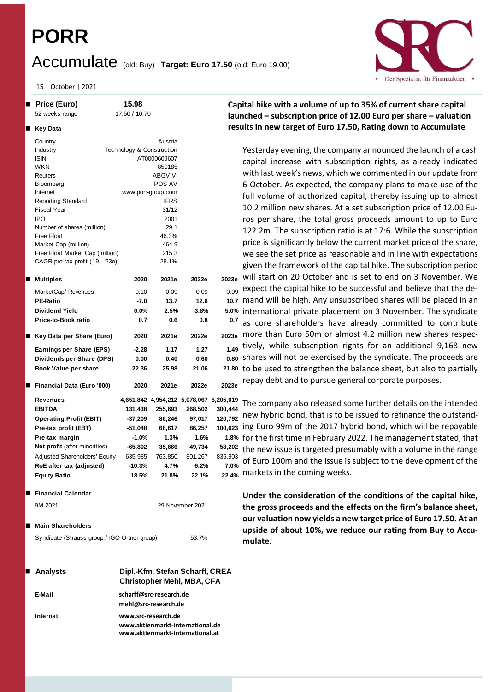# **PORR**

**Key Data**

|  |  | $Accumulate$ (old: Buy) Target: Euro 17.50 (old: Euro 19.00) |
|--|--|--------------------------------------------------------------|
|--|--|--------------------------------------------------------------|

15 | October | 2021

 **Price (Euro) 15.98** 52 weeks range 17.50 / 10.70

Country **Country Austria** Industry Technology & Construction ISIN AT0000609607 WKN 850185 Reuters ABGV.VI Bloomberg POS AV Internet www.porr-group.com Reporting Standard **IFRS** Fiscal Year 31/12 IPO 2001 Number of shares (million) 29.1 Free Float 46.3% Market Cap (million) 464.9 Free Float Market Cap (million) 215.3 CAGR pre-tax profit ('19 - '23e) 28.1%

**Dividend Yield 0.0% 2.5% 3.8% 5.0%**

**Key Data per Share (Euro) 2020 2021e 2022e 2023e**

**Dividends per Share (DPS) 0.00 0.40 0.60 0.80 Book Value per share 22.36 25.98 21.06 21.80**

**Operating Profit (EBIT) -37,209 86,246 97,017 120,792 Pre-tax profit (EBT)**  $-51,048$  68,617 86,257 **Pre-tax margin -1.0% 1.3% 1.6% 1.8%**

**Equity Ratio 18.5% 21.8% 22.1% 22.4%**

9M 2021 29 November 2021

Syndicate (Strauss-group / IGO-Ortner-group) 53.7%

**Financial Calendar**

**Main Shareholders**

**Price-to-Book ratio 0.7 0.6 0.8 0.7**

**Financial Data (Euro '000) 2020 2021e 2022e 2023e**



## **Capital hike with a volume of up to 35% of current share capital launched – subscription price of 12.00 Euro per share – valuation results in new target of Euro 17.50, Rating down to Accumulate**

Yesterday evening, the company announced the launch of a cash capital increase with subscription rights, as already indicated with last week's news, which we commented in our update from 6 October. As expected, the company plans to make use of the full volume of authorized capital, thereby issuing up to almost 10.2 million new shares. At a set subscription price of 12.00 Euros per share, the total gross proceeds amount to up to Euro 122.2m. The subscription ratio is at 17:6. While the subscription price is significantly below the current market price of the share, we see the set price as reasonable and in line with expectations given the framework of the capital hike. The subscription period will start on 20 October and is set to end on 3 November. We expect the capital hike to be successful and believe that the de-10.7 mand will be high. Any unsubscribed shares will be placed in an 5.0% international private placement on 3 November. The syndicate as core shareholders have already committed to contribute 2023e more than Euro 50m or almost 4.2 million new shares respectively, while subscription rights for an additional 9,168 new 0.80 shares will not be exercised by the syndicate. The proceeds are 21.80 to be used to strengthen the balance sheet, but also to partially repay debt and to pursue general corporate purposes. **Multiples 2020 2021e 2022e 2023e** MarketCap/ Revenues 0.10 0.09 0.09 0.09 **PE-Ratio -7.0 13.7 12.6 10.7 Earnings per Share (EPS) -2.28 1.17 1.27 1.49**

The company also released some further details on the intended  $120,792$  new hybrid bond, that is to be issued to refinance the outstand-100,623 ing Euro 99m of the 2017 hybrid bond, which will be repayable 1.8% for the first time in February 2022. The management stated, that the new issue is targeted presumably with a volume in the range of Euro 100m and the issue is subject to the development of the 22.4% markets in the coming weeks. **Revenues 4,651,842 4,954,212 5,078,067 5,205,019 EBITDA 131,438 255,693 268,502 300,444 Net profit** (after minorities) **-65,802 35,666 49,734 58,202** Adjusted Shareholders' Equity 635,985 763,850 801,267 835,903 **RoE after tax (adjusted) -10.3% 4.7% 6.2% 7.0%**

> **Under the consideration of the conditions of the capital hike, the gross proceeds and the effects on the firm's balance sheet, our valuation now yields a new target price of Euro 17.50. At an upside of about 10%, we reduce our rating from Buy to Accumulate.**

| <b>Analysts</b> | Dipl.-Kfm. Stefan Scharff, CREA<br><b>Christopher Mehl, MBA, CFA</b>                        |
|-----------------|---------------------------------------------------------------------------------------------|
| E-Mail          | scharff@src-research.de<br>mehl@src-research.de                                             |
| Internet        | www.src-research.de<br>www.aktienmarkt-international.de<br>www.aktienmarkt-international.at |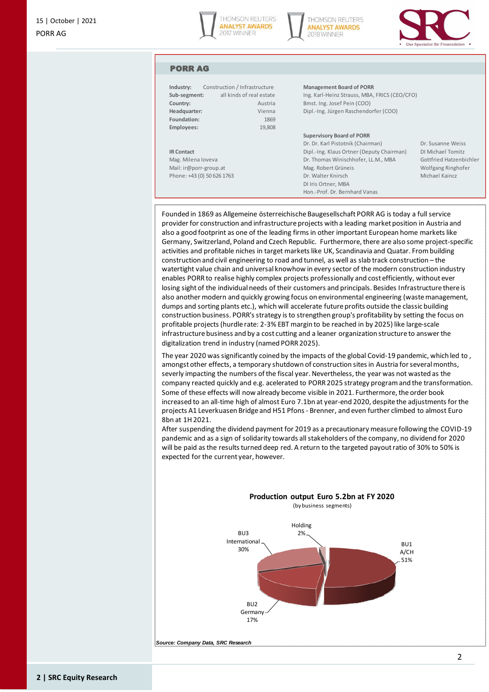





### PORR AG

| Industry:          | Construction / Infrastructure | Management Bo          |
|--------------------|-------------------------------|------------------------|
| Sub-segment:       | all kinds of real estate      | Ing. Karl-Heinz 9      |
| Country:           | Austria                       | Bmst. Ing. Josef       |
| Headquarter:       | Vienna                        | Dipl.-Ing. Jürger      |
| Foundation:        | 1869                          |                        |
| Employees:         | 19,808                        |                        |
|                    |                               | <b>Supervisory Boa</b> |
|                    |                               | Dr. Dr. Karl Pisto     |
| <b>IR Contact</b>  |                               | Dipl.-Ing. Klaus       |
| Mag. Milena Ioveva |                               | Dr. Thomas Win         |
|                    |                               |                        |

**Industrian Porce Board of PORR** 

Strauss, MBA, FRICS (CEO/CFO) Pein (COO) n Raschendorfer (COO)

#### **Rd** of PORR

Dr. Dr. Karl Pistotnik (Chairman) Dr. Susanne Weiss **IR Contact Diple.**<br>IR Contact Dipl.-Information. ischhofer, LL.M., MBA Gottfried Hatzenbichler Mail: ir@porr-group.at Mag. Robert Grüneis Wolfgang Ringhofer Phone: +43 (0) 50 626 1763 **Dr. Walter Knirsch Michael Kaincz** Michael Kaincz DI Iris Ortner, MBA Hon.-Prof. Dr. Bernhard Vanas

Founded in 1869 as Allgemeine österreichische Baugesellschaft PORR AG is today a full service provider for construction and infrastructure projects with a leading market position in Austria and also a good footprint as one of the leading firms in other important European home markets like Germany, Switzerland, Poland and Czech Republic. Furthermore, there are also some project-specific activities and profitable niches in target markets like UK, Scandinavia and Quatar. From building construction and civil engineering to road and tunnel, as well as slab track construction – the watertight value chain and universal knowhow in every sector of the modern construction industry enables PORR to realise highly complex projects professionally and cost efficiently, without ever losing sight of the individual needs of their customers and principals. Besides Infrastructure there is also another modern and quickly growing focus on environmental engineering (waste management, dumps and sorting plants etc.), which will accelerate future profits outside the classic building construction business. PORR's strategy is to strengthen group's profitability by setting the focus on profitable projects (hurdle rate: 2-3% EBT margin to be reached in by 2025) like large-scale infrastructure business and by a cost cutting and a leaner organization structure to answer the digitalization trend in industry (named PORR 2025).

The year 2020 was significantly coined by the impacts of the global Covid-19 pandemic, which led to , amongst other effects, a temporary shutdown of construction sites in Austria for several months, severly impacting the numbers of the fiscal year. Nevertheless, the year was not wasted as the company reacted quickly and e.g. acelerated to PORR 2025 strategy program and the transformation. Some of these effects will now already become visible in 2021. Furthermore, the order book increased to an all-time high of almost Euro 7.1bn at year-end 2020, despite the adjustments for the projects A1 Leverkuasen Bridge and H51 Pfons - Brenner, and even further climbed to almost Euro 8bn at 1H 2021.

After suspending the dividend payment for 2019 as a precautionary measure following the COVID-19 pandemic and as a sign of solidarity towards all stakeholders of the company, no dividend for 2020 will be paid as the results turned deep red. A return to the targeted payout ratio of 30% to 50% is expected for the current year, however.



*Source: Company Data, SRC Research*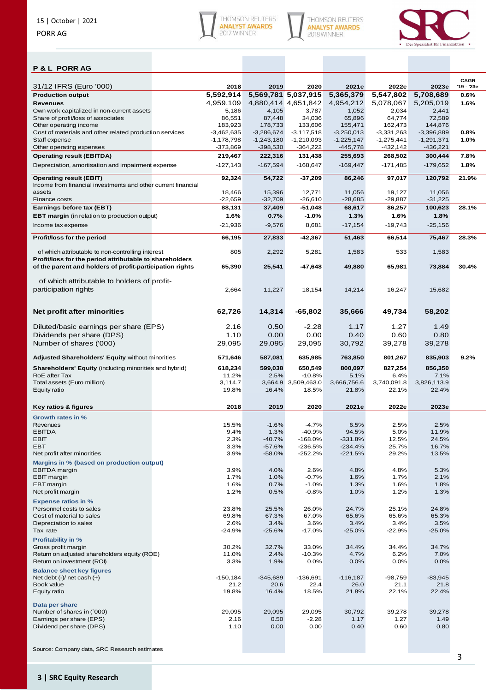





## **P & L PORR AG**

| 31/12 IFRS (Euro '000)                                                                                       | 2018             | 2019                | 2020                | 2021e               | 2022e               | 2023e               | <b>CAGR</b><br>'19 - '23e |
|--------------------------------------------------------------------------------------------------------------|------------------|---------------------|---------------------|---------------------|---------------------|---------------------|---------------------------|
| <b>Production output</b>                                                                                     | 5,592,914        | 5,569,781 5,037,915 |                     | 5,365,379           | 5,547,802           | 5,708,689           | 0.6%                      |
| <b>Revenues</b>                                                                                              | 4.959.109        | 4,880,414 4,651,842 |                     | 4,954,212           | 5,078,067           | 5,205,019           | 1.6%                      |
| Own work capitalized in non-current assets                                                                   | 5,186            | 4,105               | 3,787               | 1,052               | 2,034               | 2,441               |                           |
| Share of profit/loss of associates                                                                           | 86,551           | 87,448              | 34,036              | 65,896              | 64,774              | 72.589              |                           |
| Other operating income                                                                                       | 183,923          | 178,733             | 133,606             | 155,471             | 162,473             | 144,876             |                           |
| Cost of materials and other related production services                                                      | $-3,462,635$     | $-3,286,674$        | $-3,117,518$        | $-3,250,013$        | $-3,331,263$        | $-3,396,889$        | 0.8%                      |
| Staff expense                                                                                                | $-1,178,798$     | $-1,243,180$        | $-1,210,093$        | $-1,225,147$        | $-1,275,441$        | $-1,291,371$        | 1.0%                      |
| Other operating expenses                                                                                     | $-373,869$       | $-398,530$          | $-364,222$          | $-445,778$          | $-432,142$          | $-436,221$          |                           |
| <b>Operating result (EBITDA)</b>                                                                             | 219,467          | 222,316             | 131,438             | 255,693             | 268,502             | 300,444             | 7.8%                      |
| Depreciation, amortisation and impairment expense                                                            | $-127,143$       | $-167,594$          | $-168,647$          | $-169,447$          | $-171,485$          | $-179,652$          | 1.8%                      |
| <b>Operating result (EBIT)</b><br>Income from financial investments and other current financial<br>assets    | 92,324<br>18,466 | 54,722              | $-37,209$           | 86,246              | 97,017              | 120,792             | 21.9%                     |
| Finance costs                                                                                                | $-22,659$        | 15,396<br>$-32,709$ | 12,771<br>$-26,610$ | 11,056<br>$-28,685$ | 19,127<br>$-29,887$ | 11,056<br>$-31,225$ |                           |
| Earnings before tax (EBT)                                                                                    | 88,131           | 37,409              | $-51,048$           | 68,617              | 86,257              | 100,623             | 28.1%                     |
| <b>EBT margin</b> (in relation to production output)                                                         | 1.6%             | 0.7%                | $-1.0%$             | 1.3%                | 1.6%                | 1.8%                |                           |
|                                                                                                              |                  |                     |                     |                     |                     |                     |                           |
| Income tax expense                                                                                           | $-21,936$        | $-9,576$            | 8,681               | $-17,154$           | $-19,743$           | $-25,156$           |                           |
| Profit/loss for the period                                                                                   | 66,195           | 27,833              | $-42,367$           | 51,463              | 66,514              | 75,467              | 28.3%                     |
| of which attributable to non-controlling interest<br>Profit/loss for the period attributable to shareholders | 805              | 2,292               | 5,281               | 1,583               | 533                 | 1,583               |                           |
| of the parent and holders of profit-participation rights                                                     | 65,390           | 25,541              | -47,648             | 49,880              | 65,981              | 73,884              | 30.4%                     |
| of which attributable to holders of profit-                                                                  |                  |                     |                     |                     |                     |                     |                           |
| participation rights                                                                                         | 2,664            | 11,227              | 18,154              | 14,214              | 16,247              | 15,682              |                           |
| Net profit after minorities                                                                                  | 62,726           | 14,314              | -65,802             | 35,666              | 49,734              | 58,202              |                           |
| Diluted/basic earnings per share (EPS)                                                                       | 2.16             | 0.50                | -2.28               | 1.17                | 1.27                | 1.49                |                           |
| Dividends per share (DPS)                                                                                    | 1.10             | 0.00                | 0.00                | 0.40                | 0.60                | 0.80                |                           |
| Number of shares ('000)                                                                                      | 29,095           | 29,095              | 29,095              | 30,792              | 39,278              | 39,278              |                           |
| Adjusted Shareholders' Equity without minorities                                                             | 571,646          | 587,081             | 635,985             | 763,850             | 801,267             | 835,903             | 9.2%                      |
| Shareholders' Equity (including minorities and hybrid)                                                       | 618,234          | 599,038             | 650,549             | 800,097             | 827,254             | 856,350             |                           |
| RoE after Tax                                                                                                | 11.2%            | 2.5%                | $-10.8%$            | 5.1%                | 6.4%                | 7.1%                |                           |
| Total assets (Euro million)                                                                                  | 3,114.7          | 3,664.9             | 3,509,463.0         | 3,666,756.6         | 3,740,091.8         | 3,826,113.9         |                           |
| Equity ratio                                                                                                 |                  |                     |                     |                     |                     |                     |                           |
|                                                                                                              | 19.8%            | 16.4%               | 18.5%               | 21.8%               | 22.1%               | 22.4%               |                           |
| Key ratios & figures                                                                                         | 2018             | 2019                | 2020                | 2021e               | 2022e               | 2023e               |                           |
| Growth rates in %                                                                                            |                  |                     |                     |                     |                     |                     |                           |
| Revenues                                                                                                     | 15.5%            | $-1.6%$             | $-4.7%$             | 6.5%                | 2.5%                | 2.5%                |                           |
| <b>EBITDA</b>                                                                                                | 9.4%             | 1.3%                | $-40.9%$            | 94.5%               | 5.0%                | 11.9%               |                           |
| EBIT                                                                                                         | 2.3%             | $-40.7%$            | $-168.0%$           | $-331.8%$           | 12.5%               | 24.5%               |                           |
| EBT                                                                                                          | 3.3%             | $-57.6%$            | -236.5%             | $-234.4%$           | 25.7%               | 16.7%               |                           |
| Net profit after minorities                                                                                  | 3.9%             | $-58.0%$            | -252.2%             | $-221.5%$           | 29.2%               | 13.5%               |                           |
| Margins in % (based on production output)                                                                    |                  |                     |                     |                     |                     |                     |                           |
| EBITDA margin                                                                                                | 3.9%             | 4.0%                | 2.6%                | 4.8%                | 4.8%                | 5.3%                |                           |
| <b>EBIT</b> margin<br><b>EBT</b> margin                                                                      | 1.7%<br>1.6%     | 1.0%<br>0.7%        | $-0.7%$<br>$-1.0%$  | 1.6%                | 1.7%<br>1.6%        | 2.1%<br>1.8%        |                           |
| Net profit margin                                                                                            | 1.2%             | 0.5%                | $-0.8%$             | 1.3%<br>1.0%        | 1.2%                | 1.3%                |                           |
|                                                                                                              |                  |                     |                     |                     |                     |                     |                           |
| <b>Expense ratios in %</b>                                                                                   |                  |                     |                     |                     |                     |                     |                           |
| Personnel costs to sales<br>Cost of material to sales                                                        | 23.8%<br>69.8%   | 25.5%<br>67.3%      | 26.0%<br>67.0%      | 24.7%<br>65.6%      | 25.1%<br>65.6%      | 24.8%<br>65.3%      |                           |
| Depreciation to sales                                                                                        | 2.6%             | 3.4%                | 3.6%                | 3.4%                | 3.4%                | 3.5%                |                           |
| Tax rate                                                                                                     | $-24.9%$         | $-25.6%$            | $-17.0%$            | $-25.0%$            | $-22.9%$            | $-25.0%$            |                           |
| <b>Profitability in %</b>                                                                                    |                  |                     |                     |                     |                     |                     |                           |
| Gross profit margin                                                                                          | 30.2%            | 32.7%               | 33.0%               | 34.4%               | 34.4%               | 34.7%               |                           |
| Return on adjusted shareholders equity (ROE)                                                                 | 11.0%            | 2.4%                | $-10.3%$            | 4.7%                | 6.2%                | 7.0%                |                           |
| Return on investment (ROI)                                                                                   | 3.3%             | 1.9%                | 0.0%                | 0.0%                | 0.0%                | 0.0%                |                           |
| <b>Balance sheet key figures</b>                                                                             |                  |                     |                     |                     |                     |                     |                           |
| Net debt $(-)/$ net cash $(+)$                                                                               | $-150, 184$      | $-345,689$          | $-136,691$          | $-116,187$          | -98,759             | $-83,945$           |                           |
| Book value                                                                                                   | 21.2             | 20.6                | 22.4                | 26.0                | 21.1                | 21.8                |                           |
| Equity ratio                                                                                                 | 19.8%            | 16.4%               | 18.5%               | 21.8%               | 22.1%               | 22.4%               |                           |
| Data per share                                                                                               |                  |                     |                     |                     |                     |                     |                           |
| Number of shares in (`000)                                                                                   | 29,095           | 29,095              | 29,095              | 30,792              | 39,278              | 39,278              |                           |
| Earnings per share (EPS)                                                                                     | 2.16             | 0.50                | $-2.28$             | 1.17                | 1.27                | 1.49                |                           |
| Dividend per share (DPS)                                                                                     | 1.10             | 0.00                | 0.00                | 0.40                | 0.60                | 0.80                |                           |

Source: Company data, SRC Research estimates